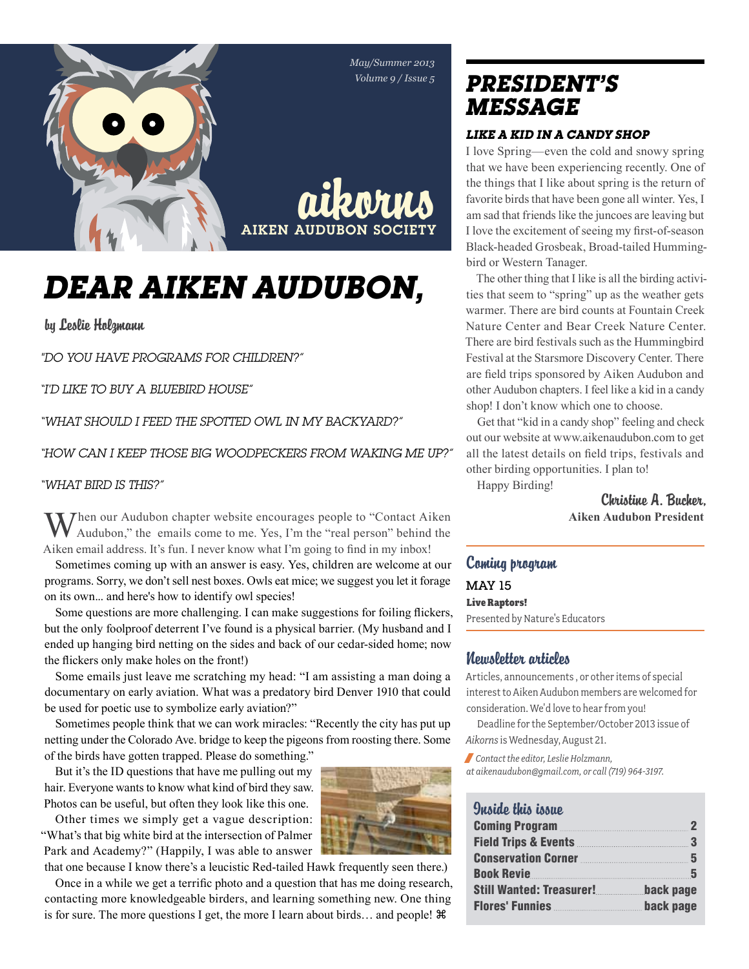



# *Dear Aiken Audubon,*

by Leslie Holzmann

*"Do you have programs for children?"*

*"I'd like to buy a bluebird house"*

*"What should I feed the spotted owl in my backyard?"*

*"How can I keep those big woodpeckers from waking me up?"*

#### *"What bird is this?"*

Then our Audubon chapter website encourages people to "Contact Aiken" Audubon," the emails come to me. Yes, I'm the "real person" behind the Aiken email address. It's fun. I never know what I'm going to find in my inbox!

Sometimes coming up with an answer is easy. Yes, children are welcome at our programs. Sorry, we don't sell nest boxes. Owls eat mice; we suggest you let it forage on its own... and here's how to identify owl species!

Some questions are more challenging. I can make suggestions for foiling flickers, but the only foolproof deterrent I've found is a physical barrier. (My husband and I ended up hanging bird netting on the sides and back of our cedar-sided home; now the flickers only make holes on the front!)

Some emails just leave me scratching my head: "I am assisting a man doing a documentary on early aviation. What was a predatory bird Denver 1910 that could be used for poetic use to symbolize early aviation?"

Sometimes people think that we can work miracles: "Recently the city has put up netting under the Colorado Ave. bridge to keep the pigeons from roosting there. Some of the birds have gotten trapped. Please do something."

But it's the ID questions that have me pulling out my hair. Everyone wants to know what kind of bird they saw. Photos can be useful, but often they look like this one.

Other times we simply get a vague description: "What's that big white bird at the intersection of Palmer Park and Academy?" (Happily, I was able to answer

that one because I know there's a leucistic Red-tailed Hawk frequently seen there.) Once in a while we get a terrific photo and a question that has me doing research, contacting more knowledgeable birders, and learning something new. One thing is for sure. The more questions I get, the more I learn about birds… and people!

## *president's message*

#### *Like a Kid in a Candy Shop*

I love Spring—even the cold and snowy spring that we have been experiencing recently. One of the things that I like about spring is the return of favorite birds that have been gone all winter. Yes, I am sad that friends like the juncoes are leaving but I love the excitement of seeing my first-of-season Black-headed Grosbeak, Broad-tailed Hummingbird or Western Tanager.

The other thing that I like is all the birding activities that seem to "spring" up as the weather gets warmer. There are bird counts at Fountain Creek Nature Center and Bear Creek Nature Center. There are bird festivals such as the Hummingbird Festival at the Starsmore Discovery Center. There are field trips sponsored by Aiken Audubon and other Audubon chapters. I feel like a kid in a candy shop! I don't know which one to choose.

Get that "kid in a candy shop" feeling and check out our website at www.aikenaudubon.com to get all the latest details on field trips, festivals and other birding opportunities. I plan to! Happy Birding!

> Christine A. Bucher, **Aiken Audubon President**

### Coming program MAY 15 Live Raptors! Presented by Nature's Educators

#### Newsletter articles

Articles, announcements , or other items of special interest to Aiken Audubon members are welcomed for consideration. We'd love to hear from you!

Deadline for the September/October 2013 issue of *Aikorns* is Wednesday, August 21.

/ *Contact the editor, Leslie Holzmann, at aikenaudubon@gmail.com, or call (719) 964-3197.*

### Inside this issue

| Coming Program                        |           |
|---------------------------------------|-----------|
| Field Trips & Events 3                |           |
| Conservation Corner <b>Election</b> 5 |           |
|                                       |           |
| <b>Still Wanted: Treasurer!</b>       | back page |
| Flores' Funnies                       | back page |

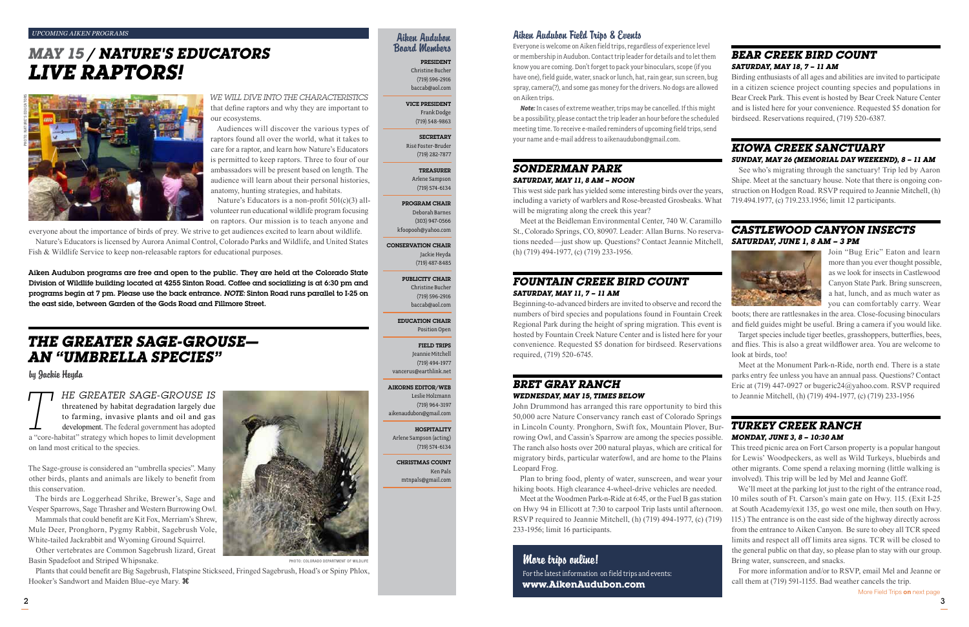## *The Greater Sage-grouse an "umbrella species"*

### by Jackie Heyda

**TT HE GREATER SAGE-GROUSE IS**<br>threatened by habitat degradation largely due<br>to farming, invasive plants and oil and gas<br>development. The federal government has adopted<br>a "core-habitat" strategy which hopes to limit deve threatened by habitat degradation largely due to farming, invasive plants and oil and gas development. The federal government has adopted on land most critical to the species.

The Sage-grouse is considered an "umbrella species". Many other birds, plants and animals are likely to benefit from this conservation.

The birds are Loggerhead Shrike, Brewer's, Sage and Vesper Sparrows, Sage Thrasher and Western Burrowing Owl.

Mammals that could benefit are Kit Fox, Merriam's Shrew, Mule Deer, Pronghorn, Pygmy Rabbit, Sagebrush Vole, White-tailed Jackrabbit and Wyoming Ground Squirrel.

Other vertebrates are Common Sagebrush lizard, Great Basin Spadefoot and Striped Whipsnake.

Nature's Educators is a non-profit  $501(c)(3)$  allvolunteer run educational wildlife program focusing on raptors. Our mission is to teach anyone and

Nature's Educators is licensed by Aurora Animal Control, Colorado Parks and Wildlife, and United States Fish & Wildlife Service to keep non-releasable raptors for educational purposes.

Plants that could benefit are Big Sagebrush, Flatspine Stickseed, Fringed Sagebrush, Hoad's or Spiny Phlox, Hooker's Sandwort and Maiden Blue-eye Mary.



#### PHOTO: COLORADO DEPARTMENT OF WILDLIFE

*We will dive into the characteristics*  that define raptors and why they are important to our ecosystems.

Audiences will discover the various types of raptors found all over the world, what it takes to care for a raptor, and learn how Nature's Educators is permitted to keep raptors. Three to four of our ambassadors will be present based on length. The audience will learn about their personal histories, anatomy, hunting strategies, and habitats.

everyone about the importance of birds of prey. We strive to get audiences excited to learn about wildlife.

This west side park has yielded some interesting birds over the years, including a variety of warblers and Rose-breasted Grosbeaks. What will be migrating along the creek this year?

#### *Upcoming Aiken Programs*

## *May 15 / Nature's educators Live Raptors!*



### Aiken Audubon Board Members

President Christine Bucher (719) 596-2916 baccab@aol.com

#### Vice President Frank Dodge

(719) 548-9863

#### **SECRETARY** Risë Foster-Bruder

(719) 282-7877 Treasurer

Arlene Sampson

### (719) 574-6134 Program Chair

Deborah Barnes (303) 947-0566 kfoopooh@yahoo.com

#### Conservation Chair Jackie Heyda (719) 487-8485

Publicity Chair Christine Bucher

(719) 596-2916 baccab@aol.com

Education Chair Position Open

#### Field Trips

Jeannie Mitchell (719) 494-1977

#### **HOSPITALITY**

vancerus@earthlink.net

Aikorns Editor/Web

Leslie Holzmann (719) 964-3197 aikenaudubon@gmail.com

Arlene Sampson (acting)

(719) 574-6134

Christmas Count

Ken Pals mtnpals@gmail.com

Aiken Audubon programs are free and open to the public. They are held at the Colorado State Division of Wildlife building located at 4255 Sinton Road. Coffee and socializing is at 6:30 pm and programs begin at 7 pm. Please use the back entrance. *Note:* Sinton Road runs parallel to I-25 on the east side, between Garden of the Gods Road and Fillmore Street.

### Aiken Audubon Field Trips & Events

Everyone is welcome on Aiken field trips, regardless of experience level or membership in Audubon. Contact trip leader for details and to let them know you are coming. Don't forget to pack your binoculars, scope (if you have one), field guide, water, snack or lunch, hat, rain gear, sun screen, bug spray, camera(?), and some gas money for the drivers. No dogs are allowed on Aiken trips.

*Note:* In cases of extreme weather, trips may be cancelled. If this might be a possibility, please contact the trip leader an hour before the scheduled meeting time. To receive e-mailed reminders of upcoming field trips, send your name and e-mail address to aikenaudubon@gmail.com.

#### *Sonderman Park Saturday, May 11, 8 am – noon*

Meet at the Beidleman Environmental Center, 740 W. Caramillo St., Colorado Springs, CO, 80907. Leader: Allan Burns. No reservations needed—just show up. Questions? Contact Jeannie Mitchell, (h) (719) 494-1977, (c) (719) 233-1956.

### *Fountain Creek Bird Count Saturday, May 11, 7 – 11 am*

Beginning-to-advanced birders are invited to observe and record the numbers of bird species and populations found in Fountain Creek Regional Park during the height of spring migration. This event is hosted by Fountain Creek Nature Center and is listed here for your convenience. Requested \$5 donation for birdseed. Reservations required, (719) 520-6745.

### *Bret Gray Ranch Wednesday, May 15, times below*

John Drummond has arranged this rare opportunity to bird this 50,000 acre Nature Conservancy ranch east of Colorado Springs in Lincoln County. Pronghorn, Swift fox, Mountain Plover, Burrowing Owl, and Cassin's Sparrow are among the species possible. The ranch also hosts over 200 natural playas, which are critical for migratory birds, particular waterfowl, and are home to the Plains Leopard Frog.

Plan to bring food, plenty of water, sunscreen, and wear your hiking boots. High clearance 4-wheel-drive vehicles are needed.

Meet at the Woodmen Park-n-Ride at 6:45, or the Fuel B gas station on Hwy 94 in Ellicott at 7:30 to carpool Trip lasts until afternoon. RSVP required to Jeannie Mitchell, (h) (719) 494-1977, (c) (719) 233-1956; limit 16 participants.

### *Bear Creek Bird Count Saturday, May 18, 7 – 11 am*

Birding enthusiasts of all ages and abilities are invited to participate in a citizen science project counting species and populations in Bear Creek Park. This event is hosted by Bear Creek Nature Center and is listed here for your convenience. Requested \$5 donation for birdseed. Reservations required, (719) 520-6387.

### *Kiowa Creek Sanctuary Sunday, May 26 (Memorial Day weekend), 8 – 11 am*

See who's migrating through the sanctuary! Trip led by Aaron Shipe. Meet at the sanctuary house. Note that there is ongoing construction on Hodgen Road. RSVP required to Jeannie Mitchell, (h) 719.494.1977, (c) 719.233.1956; limit 12 participants.

### *Castlewood Canyon Insects Saturday, June 1, 8 am – 3 pm*



Join "Bug Eric" Eaton and learn more than you ever thought possible, as we look for insects in Castlewood Canyon State Park. Bring sunscreen, a hat, lunch, and as much water as you can comfortably carry. Wear

boots; there are rattlesnakes in the area. Close-focusing binoculars and field guides might be useful. Bring a camera if you would like.

Target species include tiger beetles, grasshoppers, butterflies, bees, and flies. This is also a great wildflower area. You are welcome to look at birds, too!

Meet at the Monument Park-n-Ride, north end. There is a state parks entry fee unless you have an annual pass. Questions? Contact Eric at (719) 447-0927 or bugeric24@yahoo.com. RSVP required to Jeannie Mitchell, (h) (719) 494-1977, (c) (719) 233-1956

### *Turkey Creek Ranch Monday, June 3, 8 – 10:30 am*

This treed picnic area on Fort Carson property is a popular hangout for Lewis' Woodpeckers, as well as Wild Turkeys, bluebirds and other migrants. Come spend a relaxing morning (little walking is involved). This trip will be led by Mel and Jeanne Goff.

We'll meet at the parking lot just to the right of the entrance road, 10 miles south of Ft. Carson's main gate on Hwy. 115. (Exit I-25 at South Academy/exit 135, go west one mile, then south on Hwy. 115.) The entrance is on the east side of the highway directly across from the entrance to Aiken Canyon. Be sure to obey all TCR speed limits and respect all off limits area signs. TCR will be closed to the general public on that day, so please plan to stay with our group. Bring water, sunscreen, and snacks.

For more information and/or to RSVP, email Mel and Jeanne or call them at (719) 591-1155. Bad weather cancels the trip.

More Field Trips on next page

### More trips online!

For the latest information on field trips and events: **www.AikenAudubon.com**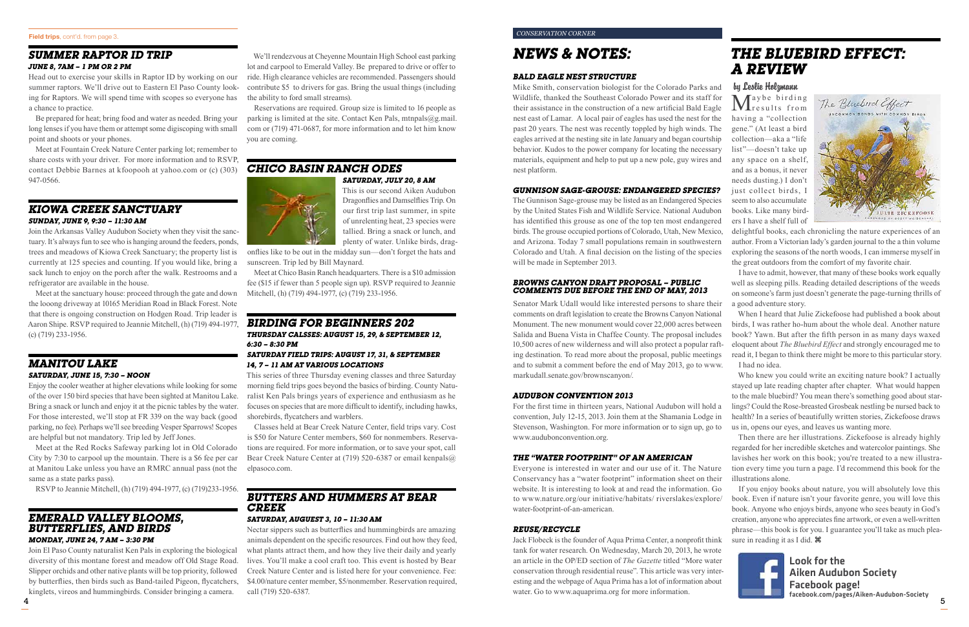#### *Conservation corner*

## *News & Notes:*

#### *Bald Eagle Nest Structure*

Mike Smith, conservation biologist for the Colorado Parks and Wildlife, thanked the Southeast Colorado Power and its staff for their assistance in the construction of a new artificial Bald Eagle nest east of Lamar. A local pair of eagles has used the nest for the past 20 years. The nest was recently toppled by high winds. The eagles arrived at the nesting site in late January and began courtship behavior. Kudos to the power company for locating the necessary materials, equipment and help to put up a new pole, guy wires and nest platform.

#### *Gunnison Sage-grouse: Endangered species?*

The Gunnison Sage-grouse may be listed as an Endangered Species by the United States Fish and Wildlife Service. National Audubon has identified this grouse as one of the top ten most endangered birds. The grouse occupied portions of Colorado, Utah, New Mexico, and Arizona. Today 7 small populations remain in southwestern Colorado and Utah. A final decision on the listing of the species will be made in September 2013.

#### *Browns Canyon Draft Proposal – public comments due before the end of May, 2013*

Senator Mark Udall would like interested persons to share their comments on draft legislation to create the Browns Canyon National Monument. The new monument would cover 22,000 acres between Salida and Buena Vista in Chaffee County. The proposal includes 10,500 acres of new wilderness and will also protect a popular rafting destination. To read more about the proposal, public meetings and to submit a comment before the end of May 2013, go to www. markudall.senate.gov/brownscanyon/.

#### *Audubon Convention 2013*

For the first time in thirteen years, National Audubon will hold a convention, July 12-15, 2013. Join them at the Shamania Lodge in Stevenson, Washington. For more information or to sign up, go to www.audubonconvention.org.

#### *The "Water Footprint" of an American*

Everyone is interested in water and our use of it. The Nature Conservancy has a "water footprint" information sheet on their website. It is interesting to look at and read the information. Go to www.nature.org/our initiative/habitats/ riverslakes/explore/ water-footprint-of-an-american.

#### *reuse/recycle*

Jack Flobeck is the founder of Aqua Prima Center, a nonprofit think tank for water research. On Wednesday, March 20, 2013, he wrote an article in the OP/ED section of *The Gazette* titled "More water conservation through residential reuse". This article was very interesting and the webpage of Aqua Prima has a lot of information about water. Go to www.aquaprima.org for more information.

Maybe birding VIresults from having a "collection gene." (At least a bird collection—aka a "life list"—doesn't take up any space on a shelf, and as a bonus, it never needs dusting.) I don't just collect birds, I seem to also accumulate books. Like many birders I have a shelf full of



We'll rendezvous at Cheyenne Mountain High School east parking lot and carpool to Emerald Valley. Be prepared to drive or offer to ride. High clearance vehicles are recommended. Passengers should contribute \$5 to drivers for gas. Bring the usual things (including the ability to ford small streams).

Reservations are required. Group size is limited to 16 people as parking is limited at the site. Contact Ken Pals, mtnpals $(a)$ g.mail. com or (719) 471-0687, for more information and to let him know you are coming.

#### *Chico Basin Ranch ODES Saturday, July 20, 8 am*



This is our second Aiken Audubon Dragonflies and Damselflies Trip. On our first trip last summer, in spite of unrelenting heat, 23 species were tallied. Bring a snack or lunch, and plenty of water. Unlike birds, drag-

onflies like to be out in the midday sun—don't forget the hats and sunscreen. Trip led by Bill Maynard.

> If you enjoy books about nature, you will absolutely love this book. Even if nature isn't your favorite genre, you will love this book. Anyone who enjoys birds, anyone who sees beauty in God's creation, anyone who appreciates fine artwork, or even a well-written phrase—this book is for you. I guarantee you'll take as much pleasure in reading it as I did.  $\mathcal{H}$



Meet at Chico Basin Ranch headquarters. There is a \$10 admission fee (\$15 if fewer than 5 people sign up). RSVP required to Jeannie Mitchell, (h) (719) 494-1977, (c) (719) 233-1956.

### *Birding for beginners 202 Thursday calsses: August 15, 29, & September 12, 6:30 – 8:30 pm*

#### *saturday Field trips: August 17, 31, & September 14, 7 – 11 am at various locations*

This series of three Thursday evening classes and three Saturday morning field trips goes beyond the basics of birding. County Naturalist Ken Pals brings years of experience and enthusiasm as he focuses on species that are more difficult to identify, including hawks, shorebirds, flycatchers and warblers.

Classes held at Bear Creek Nature Center, field trips vary. Cost is \$50 for Nature Center members, \$60 for nonmembers. Reservations are required. For more information, or to save your spot, call Bear Creek Nature Center at (719) 520-6387 or email kenpals@ elpasoco.com.

### *butters and hummers at bear creek*

### *Saturday, auguest 3, 10 – 11:30 am*

Nectar sippers such as butterflies and hummingbirds are amazing animals dependent on the specific resources. Find out how they feed, what plants attract them, and how they live their daily and yearly lives. You'll make a cool craft too. This event is hosted by Bear Creek Nature Center and is listed here for your convenience. Fee: \$4.00/nature center member, \$5/nonmember. Reservation required, call (719) 520-6387.

5

Look for the Aiken Audubon Society Facebook page! facebook.com/pages/Aiken-Audubon-Society

## *The Bluebird Effect: A Review*

by Leslie Holzmann

delightful books, each chronicling the nature experiences of an author. From a Victorian lady's garden journal to the a thin volume exploring the seasons of the north woods, I can immerse myself in the great outdoors from the comfort of my favorite chair.

I have to admit, however, that many of these books work equally well as sleeping pills. Reading detailed descriptions of the weeds on someone's farm just doesn't generate the page-turning thrills of a good adventure story.

When I heard that Julie Zickefoose had published a book about birds, I was rather ho-hum about the whole deal. Another nature book? Yawn. But after the fifth person in as many days waxed eloquent about *The Bluebird Effect* and strongly encouraged me to read it, I began to think there might be more to this particular story. I had no idea.

Who knew you could write an exciting nature book? I actually stayed up late reading chapter after chapter. What would happen to the male bluebird? You mean there's something good about starlings? Could the Rose-breasted Grosbeak nestling be nursed back to health? In a series of beautifully written stories, Zickefoose draws us in, opens our eyes, and leaves us wanting more.

Then there are her illustrations. Zickefoose is already highly regarded for her incredible sketches and watercolor paintings. She lavishes her work on this book; you're treated to a new illustration every time you turn a page. I'd recommend this book for the illustrations alone.

### *summer raptor ID trip June 8, 7am – 1 pm or 2 pm*

Head out to exercise your skills in Raptor ID by working on our summer raptors. We'll drive out to Eastern El Paso County looking for Raptors. We will spend time with scopes so everyone has a chance to practice.

Be prepared for heat; bring food and water as needed. Bring your long lenses if you have them or attempt some digiscoping with small point and shoots or your phones.

Meet at Fountain Creek Nature Center parking lot; remember to share costs with your driver. For more information and to RSVP, contact Debbie Barnes at kfoopooh at yahoo.com or (c) (303) 947-0566.

### *Kiowa Creek Sanctuary Sunday, June 9, 9:30 – 11:30 am*

Join the Arkansas Valley Audubon Society when they visit the sanctuary. It's always fun to see who is hanging around the feeders, ponds, trees and meadows of Kiowa Creek Sanctuary; the property list is currently at 125 species and counting. If you would like, bring a sack lunch to enjoy on the porch after the walk. Restrooms and a refrigerator are available in the house.

Meet at the sanctuary house: proceed through the gate and down the looong driveway at 10165 Meridian Road in Black Forest. Note that there is ongoing construction on Hodgen Road. Trip leader is Aaron Shipe. RSVP required to Jeannie Mitchell, (h) (719) 494-1977, (c) (719) 233-1956.

### *Manitou Lake Saturday, June 15, 7:30 – Noon*

Enjoy the cooler weather at higher elevations while looking for some of the over 150 bird species that have been sighted at Manitou Lake. Bring a snack or lunch and enjoy it at the picnic tables by the water. For those interested, we'll stop at FR 339 on the way back (good parking, no fee). Perhaps we'll see breeding Vesper Sparrows! Scopes are helpful but not mandatory. Trip led by Jeff Jones.

Meet at the Red Rocks Safeway parking lot in Old Colorado City by 7:30 to carpool up the mountain. There is a \$6 fee per car at Manitou Lake unless you have an RMRC annual pass (not the same as a state parks pass).

RSVP to Jeannie Mitchell, (h) (719) 494-1977, (c) (719)233-1956.

### *Emerald Valley Blooms, Butterflies, and Birds*

### *Monday, June 24, 7 am – 3:30 pm*

Join El Paso County naturalist Ken Pals in exploring the biological diversity of this montane forest and meadow off Old Stage Road. Slipper orchids and other native plants will be top priority, followed by butterflies, then birds such as Band-tailed Pigeon, flycatchers, kinglets, vireos and hummingbirds. Consider bringing a camera.